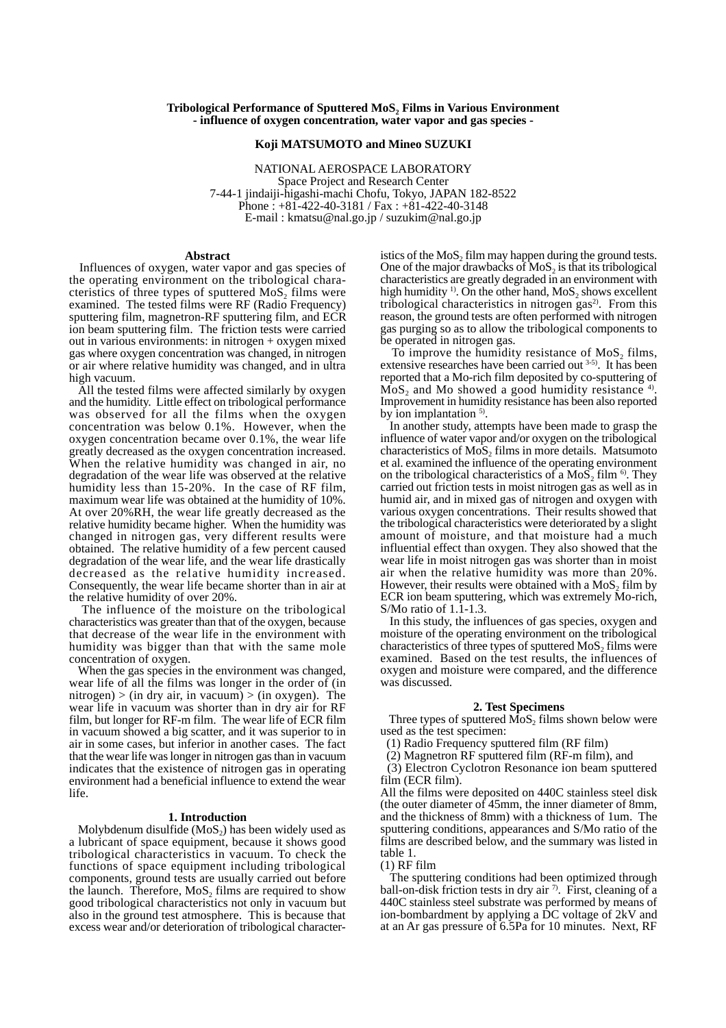# **Tribological Performance of Sputtered MoS, Films in Various Environment - influence of oxygen concentration, water vapor and gas species -**

## **Koji MATSUMOTO and Mineo SUZUKI**

NATIONAL AEROSPACE LABORATORY Space Project and Research Center 7-44-1 jindaiji-higashi-machi Chofu, Tokyo, JAPAN 182-8522 Phone : +81-422-40-3181 / Fax : +81-422-40-3148 E-mail : kmatsu@nal.go.jp / suzukim@nal.go.jp

## **Abstract**

 Influences of oxygen, water vapor and gas species of the operating environment on the tribological characteristics of three types of sputtered  $MoS<sub>2</sub>$  films were examined. The tested films were RF (Radio Frequency) sputtering film, magnetron-RF sputtering film, and ECR ion beam sputtering film. The friction tests were carried out in various environments: in nitrogen + oxygen mixed gas where oxygen concentration was changed, in nitrogen or air where relative humidity was changed, and in ultra high vacuum.

 All the tested films were affected similarly by oxygen and the humidity. Little effect on tribological performance was observed for all the films when the oxygen concentration was below 0.1%. However, when the oxygen concentration became over 0.1%, the wear life greatly decreased as the oxygen concentration increased. When the relative humidity was changed in air, no degradation of the wear life was observed at the relative humidity less than 15-20%. In the case of RF film, maximum wear life was obtained at the humidity of 10%. At over 20%RH, the wear life greatly decreased as the relative humidity became higher. When the humidity was changed in nitrogen gas, very different results were obtained. The relative humidity of a few percent caused degradation of the wear life, and the wear life drastically decreased as the relative humidity increased. Consequently, the wear life became shorter than in air at the relative humidity of over 20%.

 The influence of the moisture on the tribological characteristics was greater than that of the oxygen, because that decrease of the wear life in the environment with humidity was bigger than that with the same mole concentration of oxygen.

 When the gas species in the environment was changed, wear life of all the films was longer in the order of (in nitrogen) > (in dry air, in vacuum) > (in oxygen). The wear life in vacuum was shorter than in dry air for RF film, but longer for RF-m film. The wear life of ECR film in vacuum showed a big scatter, and it was superior to in air in some cases, but inferior in another cases. The fact that the wear life was longer in nitrogen gas than in vacuum indicates that the existence of nitrogen gas in operating environment had a beneficial influence to extend the wear life.

## **1. Introduction**

Molybdenum disulfide  $(MoS<sub>2</sub>)$  has been widely used as a lubricant of space equipment, because it shows good tribological characteristics in vacuum. To check the functions of space equipment including tribological components, ground tests are usually carried out before the launch. Therefore,  $MoS_2$  films are required to show good tribological characteristics not only in vacuum but also in the ground test atmosphere. This is because that excess wear and/or deterioration of tribological characteristics of the  $MoS<sub>2</sub>$  film may happen during the ground tests. One of the major drawbacks of  $MoS<sub>2</sub>$  is that its tribological characteristics are greatly degraded in an environment with high humidity  $\frac{1}{2}$ . On the other hand, MoS<sub>2</sub> shows excellent tribological characteristics in nitrogen gas $^{2}$ . From this reason, the ground tests are often performed with nitrogen gas purging so as to allow the tribological components to be operated in nitrogen gas.

To improve the humidity resistance of  $MoS<sub>2</sub>$  films, extensive researches have been carried out 3-5). It has been reported that a Mo-rich film deposited by co-sputtering of  $MoS<sub>2</sub>$  and Mo showed a good humidity resistance  $4$ . Improvement in humidity resistance has been also reported by ion implantation <sup>5)</sup>.

 In another study, attempts have been made to grasp the influence of water vapor and/or oxygen on the tribological characteristics of  $MoS<sub>2</sub>$  films in more details. Matsumoto et al. examined the influence of the operating environment on the tribological characteristics of a  $MoS<sub>2</sub>$ , film  $\frac{6}{10}$ . They carried out friction tests in moist nitrogen gas as well as in humid air, and in mixed gas of nitrogen and oxygen with various oxygen concentrations. Their results showed that the tribological characteristics were deteriorated by a slight amount of moisture, and that moisture had a much influential effect than oxygen. They also showed that the wear life in moist nitrogen gas was shorter than in moist air when the relative humidity was more than 20%. However, their results were obtained with a  $MoS<sub>2</sub>$  film by ECR ion beam sputtering, which was extremely Mo-rich, S/Mo ratio of  $1.\overline{1}$ -1.3.

 In this study, the influences of gas species, oxygen and moisture of the operating environment on the tribological characteristics of three types of sputtered  $MoS<sub>2</sub>$  films were examined. Based on the test results, the influences of oxygen and moisture were compared, and the difference was discussed.

## **2. Test Specimens**

Three types of sputtered  $\overline{MoS}_2$  films shown below were used as the test specimen:

(1) Radio Frequency sputtered film (RF film)

(2) Magnetron RF sputtered film (RF-m film), and

 (3) Electron Cyclotron Resonance ion beam sputtered film (ECR film).

All the films were deposited on 440C stainless steel disk (the outer diameter of 45mm, the inner diameter of 8mm, and the thickness of 8mm) with a thickness of 1um. The sputtering conditions, appearances and S/Mo ratio of the films are described below, and the summary was listed in table 1.

### $(1)$  RF film

 The sputtering conditions had been optimized through ball-on-disk friction tests in dry air  $\frac{1}{2}$ . First, cleaning of a 440C stainless steel substrate was performed by means of ion-bombardment by applying a  $\overline{D}C$  voltage of  $2kV$  and at an Ar gas pressure of 6.5Pa for 10 minutes. Next, RF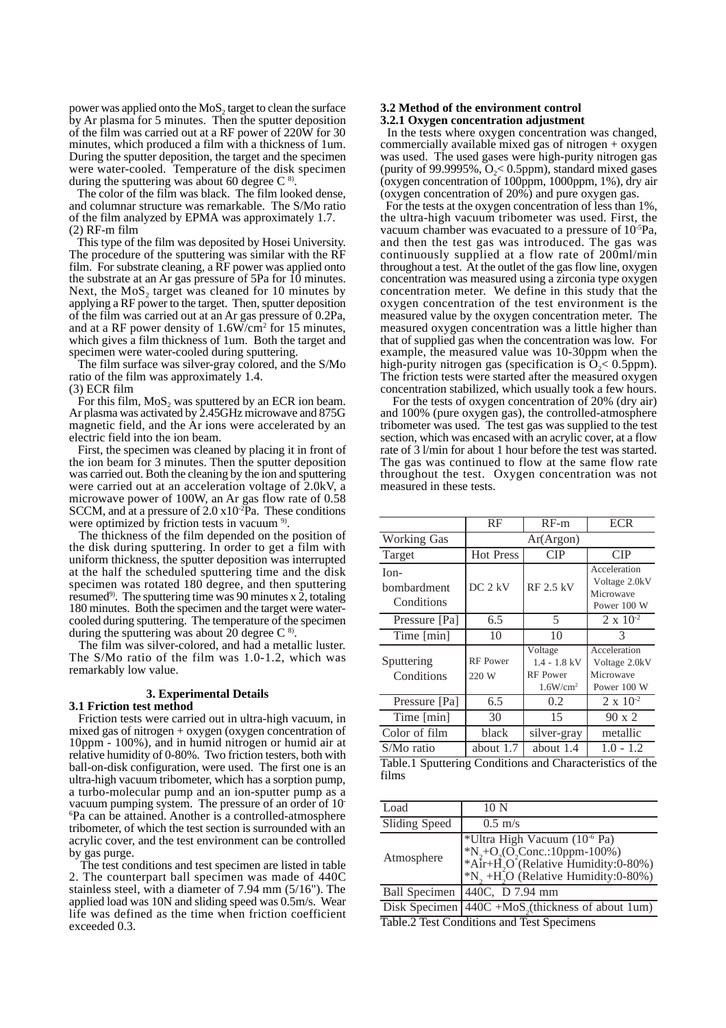power was applied onto the  $MoS<sub>2</sub>$  target to clean the surface by Ar plasma for 5 minutes. Then the sputter deposition of the film was carried out at a RF power of 220W for 30 minutes, which produced a film with a thickness of 1um. During the sputter deposition, the target and the specimen were water-cooled. Temperature of the disk specimen during the sputtering was about 60 degree  $C^{8}$ .

 The color of the film was black. The film looked dense, and columnar structure was remarkable. The S/Mo ratio of the film analyzed by EPMA was approximately 1.7. (2) RF-m film

 This type of the film was deposited by Hosei University. The procedure of the sputtering was similar with the RF film. For substrate cleaning, a RF power was applied onto the substrate at an Ar gas pressure of 5Pa for 10 minutes. Next, the  $MoS<sub>2</sub>$  target was cleaned for 10 minutes by applying a RF power to the target. Then, sputter deposition of the film was carried out at an Ar gas pressure of 0.2Pa, and at a RF power density of  $1.6W/cm^2$  for 15 minutes, which gives a film thickness of 1um. Both the target and specimen were water-cooled during sputtering.

 The film surface was silver-gray colored, and the S/Mo ratio of the film was approximately 1.4.

(3) ECR film

For this film, MoS, was sputtered by an ECR ion beam. Ar plasma was activated by 2.45GHz microwave and 875G magnetic field, and the Ar ions were accelerated by an electric field into the ion beam.

 First, the specimen was cleaned by placing it in front of the ion beam for 3 minutes. Then the sputter deposition was carried out. Both the cleaning by the ion and sputtering were carried out at an acceleration voltage of 2.0kV, a microwave power of 100W, an Ar gas flow rate of 0.58 SCCM, and at a pressure of  $2.0 \times 10^{-2}$ Pa. These conditions

were optimized by friction tests in vacuum <sup>9)</sup>.<br>The thickness of the film depended on the position of the disk during sputtering. In order to get a film with uniform thickness, the sputter deposition was interrupted at the half the scheduled sputtering time and the disk specimen was rotated 180 degree, and then sputtering resumed<sup>9)</sup>. The sputtering time was 90 minutes x  $\dot{2}$ , totaling 180 minutes. Both the specimen and the target were watercooled during sputtering. The temperature of the specimen during the sputtering was about 20 degree  $C^8$ .

The film was silver-colored, and had a metallic luster. The S/Mo ratio of the film was 1.0-1.2, which was remarkably low value.

# **3. Experimental Details**

## **3.1 Friction test method**

 Friction tests were carried out in ultra-high vacuum, in mixed gas of nitrogen + oxygen (oxygen concentration of 10ppm - 100%), and in humid nitrogen or humid air at relative humidity of 0-80%. Two friction testers, both with ball-on-disk configuration, were used. The first one is an ultra-high vacuum tribometer, which has a sorption pump, a turbo-molecular pump and an ion-sputter pump as a vacuum pumping system. The pressure of an order of 10- 6 Pa can be attained. Another is a controlled-atmosphere tribometer, of which the test section is surrounded with an acrylic cover, and the test environment can be controlled by gas purge.

 The test conditions and test specimen are listed in table 2. The counterpart ball specimen was made of 440C stainless steel, with a diameter of 7.94 mm (5/16"). The applied load was 10N and sliding speed was 0.5m/s. Wear life was defined as the time when friction coefficient exceeded 0.3.

# **3.2 Method of the environment control**

# **3.2.1 Oxygen concentration adjustment**

 In the tests where oxygen concentration was changed, commercially available mixed gas of nitrogen  $+$  oxygen was used. The used gases were high-purity nitrogen gas (purity of 99.9995%,  $O_2 < 0.5$ ppm), standard mixed gases (oxygen concentration of 100ppm, 1000ppm, 1%), dry air (oxygen concentration of 20%) and pure oxygen gas.

 For the tests at the oxygen concentration of less than 1%, the ultra-high vacuum tribometer was used. First, the vacuum chamber was evacuated to a pressure of 10-5Pa, and then the test gas was introduced. The gas was continuously supplied at a flow rate of 200ml/min throughout a test. At the outlet of the gas flow line, oxygen concentration was measured using a zirconia type oxygen concentration meter. We define in this study that the oxygen concentration of the test environment is the measured value by the oxygen concentration meter. The measured oxygen concentration was a little higher than that of supplied gas when the concentration was low. For example, the measured value was 10-30ppm when the high-purity nitrogen gas (specification is  $O_2$ < 0.5ppm). The friction tests were started after the measured oxygen concentration stabilized, which usually took a few hours.

For the tests of oxygen concentration of 20% (dry air) and 100% (pure oxygen gas), the controlled-atmosphere tribometer was used. The test gas was supplied to the test section, which was encased with an acrylic cover, at a flow rate of 3 l/min for about 1 hour before the test was started. The gas was continued to flow at the same flow rate throughout the test. Oxygen concentration was not measured in these tests.

|                                     | RF                       | $RF-m$                                                        | <b>ECR</b>                                                |  |
|-------------------------------------|--------------------------|---------------------------------------------------------------|-----------------------------------------------------------|--|
| Working Gas                         | Ar(Argon)                |                                                               |                                                           |  |
| Target                              | <b>Hot Press</b>         | CIP                                                           | CIP                                                       |  |
| $Ion-$<br>bombardment<br>Conditions | DC <sub>2</sub> kV       | <b>RF 2.5 kV</b>                                              | Acceleration<br>Voltage 2.0kV<br>Microwave<br>Power 100 W |  |
| Pressure [Pa]                       | 6.5                      | 5                                                             | $2 \times 10^{-2}$                                        |  |
| Time [min]                          | 10                       | 10                                                            | 3                                                         |  |
| Sputtering<br>Conditions            | <b>RF</b> Power<br>220 W | Voltage<br>$1.4 - 1.8$ kV<br>RF Power<br>1.6W/cm <sup>2</sup> | Acceleration<br>Voltage 2.0kV<br>Microwave<br>Power 100 W |  |
| Pressure [Pa]                       | 6.5                      | 0.2                                                           | $2 \times 10^{-2}$                                        |  |
| Time [min]                          | 30                       | 15                                                            | $90 \times 2$                                             |  |
| Color of film                       | black                    | silver-gray                                                   | metallic                                                  |  |
| S/Mo ratio                          | about 1.7                | about 1.4                                                     | $1.0 - 1.2$                                               |  |

| Table.1 Sputtering Conditions and Characteristics of the |  |  |
|----------------------------------------------------------|--|--|
| films                                                    |  |  |

| Load                                       | 10 <sub>N</sub>                                                                                                                                                                                                                   |  |  |
|--------------------------------------------|-----------------------------------------------------------------------------------------------------------------------------------------------------------------------------------------------------------------------------------|--|--|
| Sliding Speed                              | $0.5 \text{ m/s}$                                                                                                                                                                                                                 |  |  |
| Atmosphere                                 | *Ultra High Vacuum (10 <sup>-6</sup> Pa)<br>*N <sub>2</sub> +O <sub>2</sub> (O <sub>2</sub> Conc.:10ppm-100%)<br>*Air+ $\hat{H}$ ,O <sup>2</sup> (Relative Humidity:0-80%)<br>$N_2$ , +H <sub>2</sub> O (Relative Humidity:0-80%) |  |  |
| <b>Ball Specimen</b>                       | $ 440C, D 7.94$ mm                                                                                                                                                                                                                |  |  |
|                                            | Disk Specimen $ 440C + MoS$ , (thickness of about 1um)                                                                                                                                                                            |  |  |
| Table 2 Tost Conditions and Tost Specimens |                                                                                                                                                                                                                                   |  |  |

Table.2 Test Conditions and Test Specimens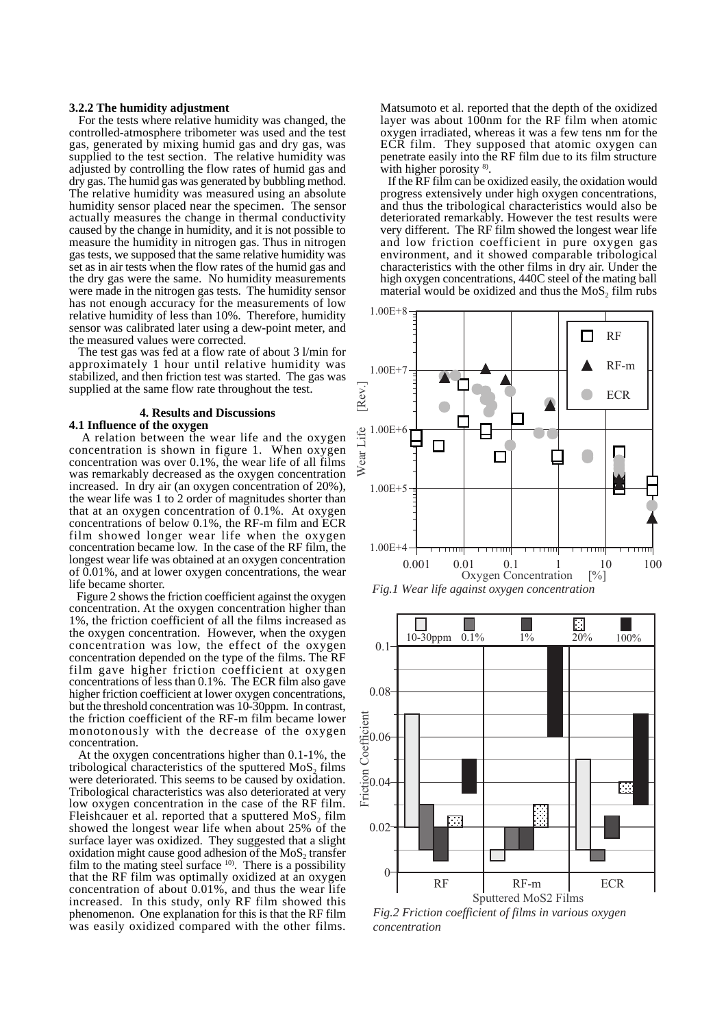## **3.2.2 The humidity adjustment**

 For the tests where relative humidity was changed, the controlled-atmosphere tribometer was used and the test gas, generated by mixing humid gas and dry gas, was supplied to the test section. The relative humidity was adjusted by controlling the flow rates of humid gas and dry gas. The humid gas was generated by bubbling method. The relative humidity was measured using an absolute humidity sensor placed near the specimen. The sensor actually measures the change in thermal conductivity caused by the change in humidity, and it is not possible to measure the humidity in nitrogen gas. Thus in nitrogen gas tests, we supposed that the same relative humidity was set as in air tests when the flow rates of the humid gas and the dry gas were the same. No humidity measurements were made in the nitrogen gas tests. The humidity sensor has not enough accuracy for the measurements of low relative humidity of less than 10%. Therefore, humidity sensor was calibrated later using a dew-point meter, and the measured values were corrected.

 The test gas was fed at a flow rate of about 3 l/min for approximately 1 hour until relative humidity was stabilized, and then friction test was started. The gas was supplied at the same flow rate throughout the test.

## **4. Results and Discussions 4.1 Influence of the oxygen**

 A relation between the wear life and the oxygen concentration is shown in figure 1. When oxygen concentration was over 0.1%, the wear life of all films was remarkably decreased as the oxygen concentration increased. In dry air (an oxygen concentration of 20%), the wear life was 1 to 2 order of magnitudes shorter than that at an oxygen concentration of 0.1%. At oxygen concentrations of below 0.1%, the RF-m film and ECR film showed longer wear life when the oxygen concentration became low. In the case of the RF film, the longest wear life was obtained at an oxygen concentration of 0.01%, and at lower oxygen concentrations, the wear life became shorter.

 Figure 2 shows the friction coefficient against the oxygen concentration. At the oxygen concentration higher than 1%, the friction coefficient of all the films increased as the oxygen concentration. However, when the oxygen concentration was low, the effect of the oxygen concentration depended on the type of the films. The RF film gave higher friction coefficient at oxygen concentrations of less than 0.1%. The ECR film also gave higher friction coefficient at lower oxygen concentrations, but the threshold concentration was 10-30ppm. In contrast, the friction coefficient of the RF-m film became lower monotonously with the decrease of the oxygen concentration.

 At the oxygen concentrations higher than 0.1-1%, the tribological characteristics of the sputtered MoS<sub>2</sub> films were deteriorated. This seems to be caused by oxidation. Tribological characteristics was also deteriorated at very low oxygen concentration in the case of the RF film. Fleishcauer et al. reported that a sputtered  $MoS<sub>2</sub>$  film showed the longest wear life when about 25% of the surface layer was oxidized. They suggested that a slight oxidation might cause good adhesion of the  $MoS<sub>2</sub>$  transfer film to the mating steel surface  $10$ . There is a possibility that the RF film was optimally oxidized at an oxygen concentration of about 0.01%, and thus the wear life increased. In this study, only RF film showed this phenomenon. One explanation for this is that the RF film was easily oxidized compared with the other films.

Matsumoto et al. reported that the depth of the oxidized layer was about  $100$ nm for the RF film when atomic oxygen irradiated, whereas it was a few tens nm for the ECR film. They supposed that atomic oxygen can penetrate easily into the RF film due to its film structure with higher porosity <sup>8</sup>.

If the  $\overline{RF}$  film can be oxidized easily, the oxidation would progress extensively under high oxygen concentrations, and thus the tribological characteristics would also be deteriorated remarkably. However the test results were very different. The RF film showed the longest wear life and low friction coefficient in pure oxygen gas environment, and it showed comparable tribological characteristics with the other films in dry air. Under the high oxygen concentrations, 440C steel of the mating ball material would be oxidized and thus the  $MoS<sub>2</sub>$  film rubs





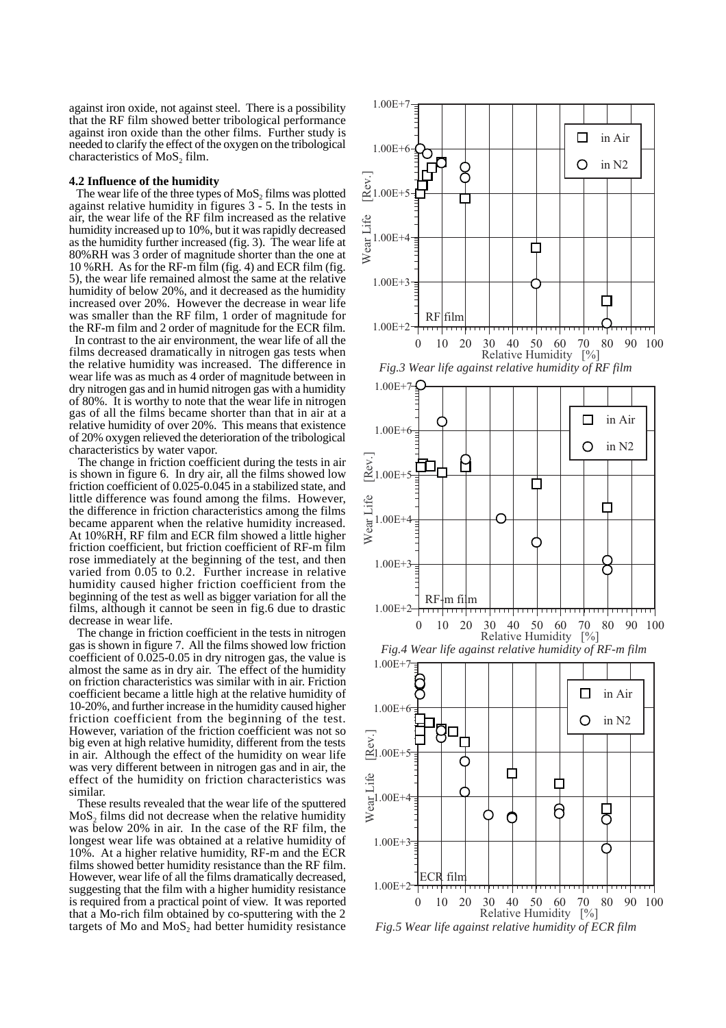against iron oxide, not against steel. There is a possibility that the RF film showed better tribological performance against iron oxide than the other films. Further study is needed to clarify the effect of the oxygen on the tribological characteristics of MoS<sub>2</sub> film.

# **4.2 Influence of the humidity**

The wear life of the three types of  $MoS<sub>2</sub>$  films was plotted against relative humidity in figures  $3 - 5$ . In the tests in air, the wear life of the RF film increased as the relative humidity increased up to 10%, but it was rapidly decreased as the humidity further increased (fig. 3). The wear life at 80%RH was 3 order of magnitude shorter than the one at 10 %RH. As for the RF-m film (fig. 4) and ECR film (fig. 5), the wear life remained almost the same at the relative humidity of below 20%, and it decreased as the humidity increased over 20%. However the decrease in wear life was smaller than the RF film, 1 order of magnitude for the RF-m film and 2 order of magnitude for the ECR film.

 In contrast to the air environment, the wear life of all the films decreased dramatically in nitrogen gas tests when the relative humidity was increased. The difference in wear life was as much as 4 order of magnitude between in dry nitrogen gas and in humid nitrogen gas with a humidity of 80%. It is worthy to note that the wear life in nitrogen gas of all the films became shorter than that in air at a relative humidity of over 20%. This means that existence of 20% oxygen relieved the deterioration of the tribological characteristics by water vapor.

 The change in friction coefficient during the tests in air is shown in figure 6. In dry air, all the films showed low friction coefficient of 0.025-0.045 in a stabilized state, and little difference was found among the films. However, the difference in friction characteristics among the films became apparent when the relative humidity increased. At 10%RH, RF film and ECR film showed a little higher friction coefficient, but friction coefficient of RF-m film rose immediately at the beginning of the test, and then varied from 0.05 to 0.2. Further increase in relative humidity caused higher friction coefficient from the beginning of the test as well as bigger variation for all the films, although it cannot be seen in fig.6 due to drastic decrease in wear life.

 The change in friction coefficient in the tests in nitrogen gas is shown in figure 7. All the films showed low friction coefficient of 0.025-0.05 in dry nitrogen gas, the value is almost the same as in dry air. The effect of the humidity on friction characteristics was similar with in air. Friction coefficient became a little high at the relative humidity of 10-20%, and further increase in the humidity caused higher friction coefficient from the beginning of the test. However, variation of the friction coefficient was not so big even at high relative humidity, different from the tests in air. Although the effect of the humidity on wear life was very different between in nitrogen gas and in air, the effect of the humidity on friction characteristics was similar.

 These results revealed that the wear life of the sputtered  $MoS<sub>2</sub>$  films did not decrease when the relative humidity was below 20% in air. In the case of the RF film, the longest wear life was obtained at a relative humidity of 10%. At a higher relative humidity, RF-m and the ECR films showed better humidity resistance than the RF film. However, wear life of all the films dramatically decreased, suggesting that the film with a higher humidity resistance is required from a practical point of view. It was reported that a Mo-rich film obtained by co-sputtering with the 2 targets of Mo and  $MoS<sub>2</sub>$  had better humidity resistance

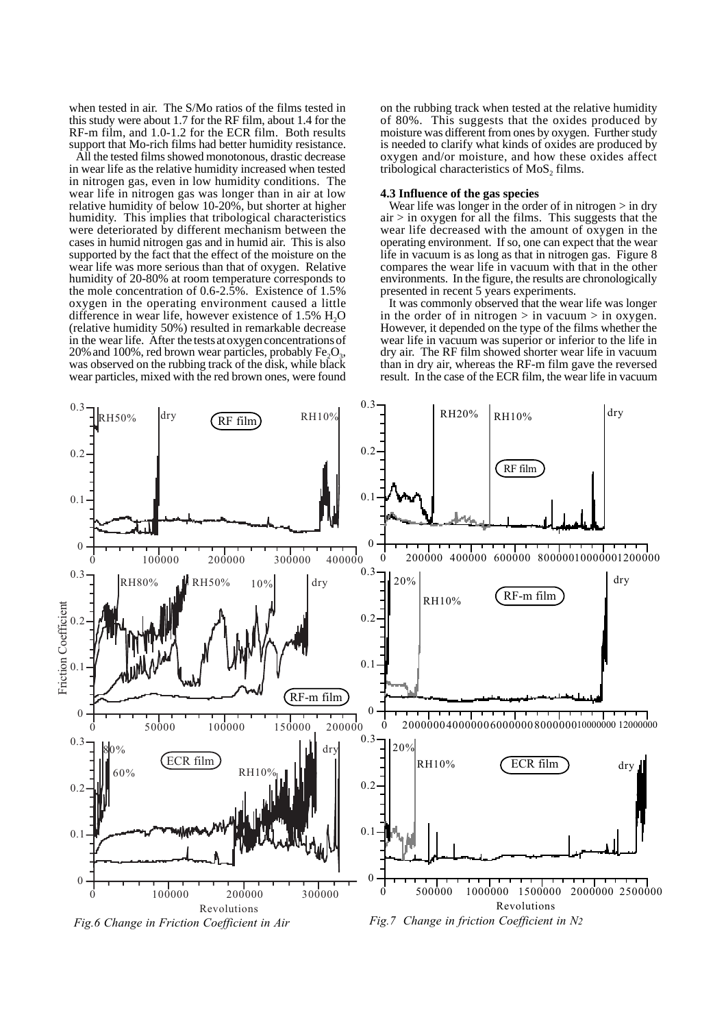when tested in air. The S/Mo ratios of the films tested in this study were about 1.7 for the RF film, about 1.4 for the RF-m film, and 1.0-1.2 for the ECR film. Both results support that Mo-rich films had better humidity resistance.

 All the tested films showed monotonous, drastic decrease in wear life as the relative humidity increased when tested in nitrogen gas, even in low humidity conditions. The wear life in nitrogen gas was longer than in air at low relative humidity of below 10-20%, but shorter at higher humidity. This implies that tribological characteristics were deteriorated by different mechanism between the cases in humid nitrogen gas and in humid air. This is also supported by the fact that the effect of the moisture on the wear life was more serious than that of oxygen. Relative humidity of 20-80% at room temperature corresponds to the mole concentration of 0.6-2.5%. Existence of 1.5% oxygen in the operating environment caused a little difference in wear life, however existence of  $1.5\%$  H<sub>2</sub>O (relative humidity 50%) resulted in remarkable decrease in the wear life. After the tests at oxygen concentrations of 20% and 100%, red brown wear particles, probably  $Fe<sub>2</sub>O<sub>3</sub>$ , was observed on the rubbing track of the disk, while black wear particles, mixed with the red brown ones, were found

on the rubbing track when tested at the relative humidity of 80%. This suggests that the oxides produced by moisture was different from ones by oxygen. Further study is needed to clarify what kinds of oxides are produced by oxygen and/or moisture, and how these oxides affect tribological characteristics of MoS<sub>2</sub> films.

## **4.3 Influence of the gas species**

Wear life was longer in the order of in nitrogen  $>$  in dry  $air > in oxygen for all the films. This suggests that the$ wear life decreased with the amount of oxygen in the operating environment. If so, one can expect that the wear life in vacuum is as long as that in nitrogen gas. Figure 8 compares the wear life in vacuum with that in the other environments. In the figure, the results are chronologically presented in recent 5 years experiments.

 It was commonly observed that the wear life was longer in the order of in nitrogen  $>$  in vacuum  $>$  in oxygen. However, it depended on the type of the films whether the wear life in vacuum was superior or inferior to the life in dry air. The RF film showed shorter wear life in vacuum than in dry air, whereas the RF-m film gave the reversed result. In the case of the ECR film, the wear life in vacuum